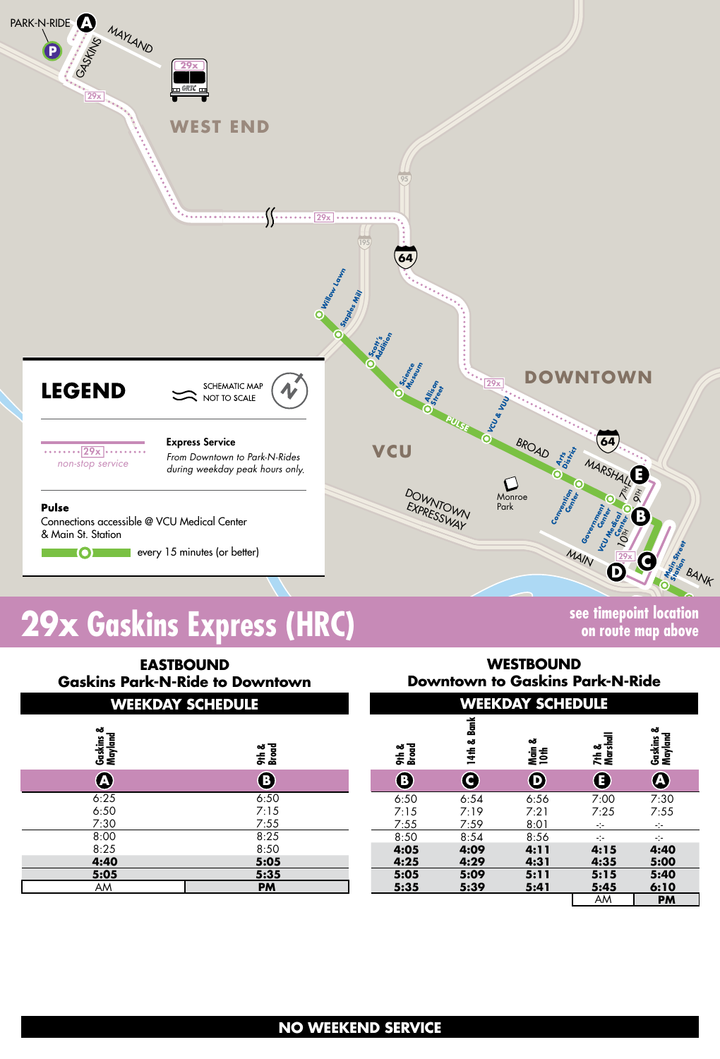

# **19x Gaskins Express (HRC) Some Security on the EXP contraction**

AM **PM** AM **PM WEEKDAY SCHEDULE WEEKDAY SCHEDULE EASTBOUND Gaskins Park-N-Ride to Downtown WESTBOUND Downtown to Gaskins Park-N-Ride <sup>B</sup> <sup>C</sup>14th & Bank Main & 10th Gaskins & Mayland E7th & Marshall D A Gaskins & Mayland <sup>A</sup> <sup>B</sup>9th & Broad 9th & Broad** 6:25 6:50 6:50 7:15<br>7:30 7:30 7:55 7:30 8:00 8:25 8:25 8:50<br>**4:40 5:05 4:40 5:05 5:05 5:35** 6:50 6:54 6:56 7:00 7:30 7:15 7:19 7:21 7:25 7:55 7:55 7:59 8:01 -:- -:-  $8:50$   $8:54$   $8:56$   $\cdot$ **4:05 4:09 4:11 4:15 4:40 4:25 4:29 4:31 4:35 5:00 5:05 5:09 5:11 5:15 5:40 5:35 5:39 5:41 5:45 6:10**

**on route map above**

# **NO WEEKEND SERVICE**